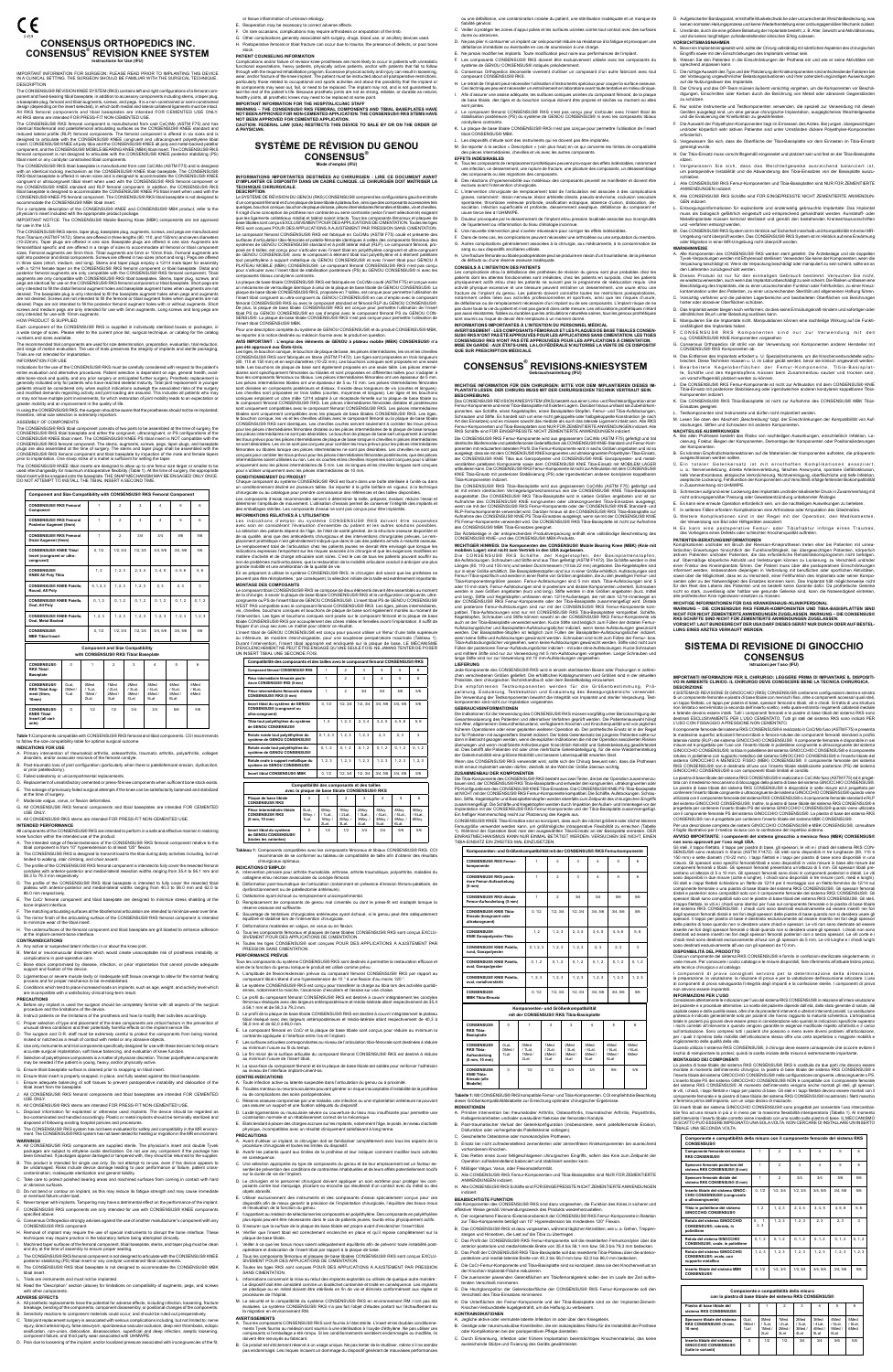**Consensus® REVISION KNEE SYSTEM Instructions for Use (IFU)**

IMPORTANT INFORMATION FOR SURGEON: PLEASE READ PRIOR TO IMPLANTING THIS DEVICE IN A CLINICAL SETTING. THE SURGEON SHOULD BE FAMILIAR WITH THE SURGICAL TECHNIQUE.

DESCRIPTION<br>The CONSENSUS® REVISION KNEE SYSTEM (RKS) contains left and right configurations of a femoral com-<br>ponent and fixed-bearing tibial baseplate, in addition to accessory components including stems, a taper plug,<br>a

The CONSENSUS® RKS femoral component is manufactured from cast CoCrMo (ASTM F75) and has<br>identical tibiofemoral and patellofemoral articulating surfaces as the CONSENSUS® KNEE standard and<br>reduced lateral profile (RLP) fe

insert, CONSENSUS® KNEE all poly tibia and the CONSENSUS® KNEE all poly and metal-backed patellar<br>component, and the CONSENSUS® MOBILE BEARING KNEE (MBK) tibial insert. The CONSENSUS® RKS<br>femoral component is not designed

For a complete description of the CONSENSUS® KNEE and CONSENSUS® MBK product, refer to the<br>physician's insert included with the appropriate product package.<br>IMPORTANT NOTICE: The CONSENSUS® Mobile Bearing Knee (MBK) compon

The CONSENSUS® RKS stems, taper plug, baseplate plug, augments, screws, and pega are manufactured<br>from Titanium (ASTM F1472). Stems are offered in three lengths (80, 110, and 150mm) and seven diameters<br>(10-22mm). Taper plu

C. The profile of the CONSENSUS® RKS femoral component is intended to fully cover the resected femoral condyles with anterior-posterior and medial-lateral resection widths ranging from 35.4 to 56.1 mm and 58.3 to 79.3 mm r

- D. The profile of the CONSENSUS® RKS tibial baseplate is intended to fully cover the resected tibial plateau with anterior-posterior and medial-lateral widths ranging from 40.3 to 56.0 mm and 62.0 to 86.0 mm respectively.
- E. The CoCr femoral component and tibial baseplate are designed to minimize stress shielding at the
- bone-implant interface. F. The matching articulating surfaces at the tibiofemoral articulation are intended to minimize wear over time.
- G. The mirror finish of the articulating surface of the CONSENSUS® RKS femoral component is intended to minimize wear of the tibial insert.
- hent and tibial baseplate are grit blasted to enhance adhesion H. The undersurfaces of the femoral compet at the implant-cement-bone interface.

Each component of the CONSENSUS® RKS is supplied in individually sterilized boxes or packages, in a wide range of sizes. Please refer to the current price list, surgical technique, or catalog for the catalog

The recommended trial components are used for size determination, preparation, evaluation, trial reduction,<br>and range of motion evaluation. The use of trials preserves the integrity of implants and sterile packaging.<br>Trial

Indications for the use of the CONSENSUS® RKS must be carefully considered with respect to the patient's<br>entitie evaluation and alternative procedures. Patient selection is dependent on age, general health, avail-<br>able bon

In using the CONSENSUS® RKS, the surgeon should be aware that the prostheses should not be re-implanted

The CONSENSUS® RKS tibial component consists of two parts to be assembled at the time of surgery, the CONSENSUS® RKS tibial baseplate and either the congruent, ultracongruent, or PS configurations of the CONSENSUS® KNEE ti

The CONSENSUS® KNEE tibial inserts are designed to allow up to one femur size larger or smaller to be<br>used interchangeably for maximum intraoperative flexibility (Table 1). At the time of surgery, the appropriate<br>tibial in

**Component and Size Compatibility with CONSENSUS® RKS Femoral Component** 

1 | 2 | 3 | 4 | 5 | 6

1 2 3 4 5 6

1 | 2 | 3/4 | 3/4 | 5/6 | 5/6

numbers and sizes available.

CE

INFORMATION FOR USE

therefore, initial size selection is extremely important. ASSEMBLY OF COMPONENTS

**Table 1:**Components compatible with CONSENSUS® RKS femoral and tibial components. COI recommends to follow the size compatibility table for optimal surgical outcome.

**INDICATIONS FOR USE**

- WARNINGS<br>A. All CONSENSUS® RKS components are supplied sterile. The physician's insert and double Tyvek<br>packages are subject to ethylene oxide sterilization. Do not use any component if the package has<br>been breached. If pa
- B. This product is intended for single use only. Do not attempt to re-use, even if the device appears to<br>be undamaged. Risks include device damage leading to poor performance or failure, patient cross-<br>contamination, inade
- C. Take care to protect polished bearing areas and machined surfaces from coming in contact with hard or abrasive surfaces.
- D. Do not bend or contour an implant, as this may reduce its fatigue strength and may cause immediate or eventual failure under load.
- FUCTER TERRET TERRET TERRET IN THE TERRET IN THE INTERFERIT CHERRET INTERFERIT AND THE IMPLIANT CHERRET INTERPRET INTERPRET INTERPRET IN THE IMPLIANT TERRET INTERPRET INTERPRET INTERPRET INTERPRET INTERPRET INTERPRET INTER
- CONSENSUS® RKS components are only intended for use with CONSENSUS® KNEE compo
- specified above. G. Consensus Orthopedics strongly advises against the use of another manufacturer's component with any CONSENSUS® RKS component.
- H. Removal of implant may require the use of special instruments to disrupt the bone interface. These techniques may require practice in the laboratory before being attempted clinically.
- I. Machined taper surfaces of the femoral component, tibial baseplate, stems, and taper plug must be clean and dry at the time of assembly to ensure proper seating.
- J. The CONSENSUS® RKS femoral component is not designed to articulate with the CONSENSUS® KNEE posterior stabilizing (PS) tibial insert or any condylar constrained tibial components.
- K. The CONSENSUS® RKS tibial baseplate is not designed to accommodate the CONSENSUS® MBK tibial insert.
- L. Trials are instruments and must not be implanted.
- M. Read the "Description" section (above) for limitations on compatibility of augments, pegs, and screw with other components.

A. Primary intervention of rheumatoid arthritis, osteoarthritis, traumatic arthritis, polyarthritis, collagen

disorders, and/or avascular necrosis of the femoral condyle.

or prior patellectomy).<br>C. Eailed osteotomy or unicompartmental replacements

G. All CONSENSUS® RKS femoral components and tibial baseplates are intended FOR CEMENTED

USE ONLY.

H. All CONSENSUS® RKS stems are intended FOR PRESS-FIT NON-CEMENTED USE.

**INTENDED PERFORMANCE** All components of the CONSENSUS® RKS are intended to perform in a safe and effective manner in restoring

A. The intended range of flexion/extension of the CONSENSUS® RKS femoral component relative to the tibial component is from 10° hyperextension to at least 120° flexion.

## B. The CONSENSUS® RKS is designed to transmit load to the tibia during daily activities including, but not limited to walking, stair climbing, and chair ascent.

here function within the intended use of the product.

- **CONTRAINDICATIONS** ent infection in or about the knee joint.
- B. Mental or neuromuscular disorders which would create unacceptable risk of prosthesis instability or
- ns in post-operative care C. Bone stock compromised by disease, infection, or prior implantation that cannot provide adequate support and fixation of the device.
- D. Ligamentous or severe muscle laxity or inadequate soft tissue coverage to allow for the normal healing pcess and for proper mechanics to be re-established.
- E. Conditions which tend to place increased loads on implants, such as age, weight, and activity level which are incompatible with a satisfactory clinical long-term result.

**BESCHREIBUNG** Das CONSENSUS® REVISION KNIESYSTEM (RKS) besteht aus einer Links- und Rechtskonfiguration einer Femur-Komponente und einer Tibia-Basisplatte mit fixierten Lagern. Darüber hinaus umfasst sie Zubehörkom-<br>ponenten, wie Schäfte, einen Kegelstopfen, einen Basisplatten-Stopfen, Femur- und Tibia-Aufstockungen,<br>Schrauben und

Die CONSENSUS® RKS Femur-Komponente wird aus gegossenem CoCrMo (ASTM F75) gefertigt und hat<br>identische tibiofemorale und patellofemorale Gelenkflächen als CONSENSUS® KNIE-Standard und Femur-Kom-<br>ponenten mit reduziertem la verstärkten patellaren Komponente sowie dem CONSENSUS® KNIE Tibia-Einsatz mit MOBILEAN LAGER<br>artikulieren kann. Die CONSENSUS® RKS Femur-Komponente ist nicht zur Artikulation mit dem CONSENSUS®<br>KNIE Tibia-Einsatz mit post

Die CONSENSUS® RKS Tibia-Basisplatte wird aus gegossenem CoCrMo (ASTM F75) geferligt und<br>tist mit einem identischen Verriegelungsmechanismus wie die CONSENSUS® KNIE Tibia-Basisplatte<br>ausgestattel. Die CONSENSUS® RKS Tibia-

### **PRECAUTIONS**

- A. Before any implant is used the surgeon should be completely familiar with all aspects of the surgical procedure and the limitations of the device.
- Instruct patients on the limitations of the prosthesis and how to modify their activities accordingly
- C. Proper selection of type and placement of the knee components are critical factors in the prevention of unusual stress conditions and their potentially harmful effects on the implant service life.
- D. The surgeon and O.R. staff must be extremely careful to protect the components from being marred, nicked or notched as a result of contact with metal or any abrasive objects.
- E. Use only instruments and trial components specifically designed for use with these devices to help ensure accurate surgical implantation, soft tissue balancing, and evaluation of knee function.
- F. Selection of polyethylene components is a matter of physician discretion. Thicker polyethylene components may be needed if the patient is young, heavy, and/or physically active.
- G. Ensure tibial baseplate surface is cleaned prior to snapping on tibial insert
- H. Ensure tibial insert is properly snapped, in place, and fully seated against the tibial baseplate I. Ensure adequate balancing of soft tissues to prevent postoperative instability and dislocation of the tibial insert from the baseplate.
- J. All CONSENSUS® RKS femoral components and tibial baseplates are intended FOR CEMENTED USE ONLY.
- All CONSENSUS® RKS stems are intended FOR PRESS-FIT NON-CEMENTED USE.
- L. Disposal information for explanted or otherwise used implants: The device should be regarded as<br>bio-contaminated and handled accordingly. Plastic or metal implants should be terminally sterilized and<br>disposed of followi
- M. The CONSENSUS® RKS system has not been evaluated for safety and compatibility in the MR environ-ment. The CONSENSUS® RKS system has not been tested for heating or migration in the MR environment.

mobiliem Lager) sind nicht zum Verfrieb in den USA zugelassen.<br>Die CONSENSION (Ein der Schräuber der Kregelstopfen, der Basisplattenstopfen, der Basisplattenstopfen,<br>dängen (80, 110 und 150 mm) und sieben Durchmessem (10 b Tibia-Komponentengrößen passen. Femur-Adistockungen sind 5 mm stark. Tibia-Autstockungen sind 5 for the matter<br>oder 10 mm stark. Femur-Autstockungen sind in posteriore und distale Komponenten unterteilt. Schrauben<br>werden i Aufstockungslöcher und Basisplatten-Aufstockungslöcher indiziert, wenn keine Aufstockungen gewünscht werden. Der Basisplatten-Stopfen ist lediglich zum Füllen der Basisplatten-Aufstockungslöcher indiziert, wenn keine Stifte und Aufstockungen gewünscht werden. Schrauben sind nicht zum Füllen der Femur- bzw.<br>Tibia-Aufstockungslöcher vorgesehen, wenn keine Aufstockungen gewünscht werden. Stifte sind nicht zum<br>Füllen der posteri und mittlere Stifte sind nur zur Verwendung mit 5 mm-Aufstockungen vorgesehen. Lange Schrauben und<br>lange Stifte sind nur zur Verwendung mit 10 mm-Aufstockungen vorgesehen. **LIEFERUNG**

**Tabelle 1:** Mit CONSENSUS® RKS kompatible Femur- und Tibia-Komponenten. COI empfiehlt die Beachtung<br>dieser Größenkompatibilitätstabelle zur Erreichung optimaler chirurgischer Ergebnisse. **INDIKATIONEN**

### **ADVERSE EFFECTS**

- A. All prosthetic replacements have the potential for adverse effects, including infection, loosening, fracture<br>breakage, bending of the components, component disassembly, or positional changes of the components.<br>B. Sensi
- 
- C. Total joint replacement surgery is associated with serious compilcations including, but not limited to: nerve<br>injury, direct arterial injury, false aneurysm, spontaneous vascular occlusion, deep vein thrombosis, ectopic
- D. Pain due to loosening of the implant, and/or localized pressure associated with incongruencies of the fit

**BEABSICHTIGTE FUNKTION**<br>Alle Komponenten des CONSENSUS® RKS sind dazu vorgesehen, die Funktion des Knies in sicherer und<br>effektiver Weise gemäß Verwendungszweck des Produkts wiederherzustellen. A. Der vorgesehene Flexions-/Extensionsbereich der CONSENSUS® RKS Femur-Komponente in Relation zur Tibia-Komponente beträgt von 10° Hyperextension bis mindestens 120° Flexion.

ou une défaillance, une contamination croisée du patient, une stérilisation inadéquate et un manque de fiabilité général.

- C. Veiller à protéger les zones d'appui polies et les surfaces usinées contre tout contact avec des surfaces dures ou abrasives.
- D. Ne pas plier ni contourner un implant car cela pourrait réduire sa résistance à la fatigue et provoquer une défaillance immédiate ou éventuelle en cas de soumission à une charge.
- 
- E. Ne jamais modifier les implants. Toute modification peut nuire aux performances de l'implant.<br>F. Les composants CONSENSUS® RKS doivent être exclusivement utilisés avec les composants du<br>système de GENOU CONSENSUS® indiq
	-
- H. Le retrait de l'implant peut nécessiter l'utilisation d'instruments spéciaux pour couper la surface osseuse<br>Ces techniques peuvent nécessiter un entraînement en laboratoire avant toute tentative en milieu clinique Ces techniques peuvent nécessiter un entraînement en laboratoire avant toute tentative en milieu clinique.<br>I. Afin d'assurer une assise adéquate, les surfaces coniques usinées du composant fémoral, de la plaque<br>de base tib
- J. Le composant fémoral CONSENSUS® RKS n'est pas conçu pour s'articuler avec l'insert tibial de stabilisation postérieure (PS) du système de GENOU CONSENSUS® ni avec les composants tibiaux condyliens contraints.
- 
- K. La plaque de base tibiale CONSENSUS® RKS n'est pas conçue pour permettre l'utilisation de l'insert tibial CONSENSUS® MBK. L. Les dispositifs d'étude sont des instruments qui ne doivent pas être implantés.
- M. Se reporter à la section « Description » (voir plus haut) en ce qui concerne les limites de compatibilité des pièces intermédiaires, chevilles et vis avec les autres composants.
- **EFFETS INDÉSIRABLES**
- A. Tous les composants de remplacement prothétiques peuvent provoquer des effets indésirables, notamment<br>une infection, un desserrement, une rupture de fracture, une plicature des composants, un désassemblage<br>des composant
- B. Des réactions d'hypersensibilité aux matériaux des composants peuvent se manifester et doivent être exclues avant l'intervention chirurgicale.
- C. L'intervention chirurgicale de remplacement total de l'articulation est associée à des complications graves, notamment : lésion nerveuse, lésion artérielle directe, pseudo-anévrisme, occlusion vasculaire spontanée, thro
- D. Douleur provoquée par le desserrement de l'implant et/ou pression localisée associée aux incongruités de l'ajustement ou inflammation du tissu d'étiologie inconnue.
- E. Une nouvelle intervention peut s'avérer nécessaire pour corriger les effets indésirables. Dans de rares cas, les complications peuvent nécessiter une arthrodèse ou une amputation du membre
- G. Autres complications généralement associées à la chirurgie, aux médicaments, à la consommation de sang ou aux dispositifs ancillaires utilisés.
- H. Une fracture fémorale ou tibiale postopératoire peut se produire en raison d'un traumatisme, de la présence
- de défauts ou d'une réserve osseuse inadéquate. **CONSEILS À L'INTENTION DES PATIENTS**

Les complications et/ou la défaillance des prothèses de révision du genou sont plus probables chez les<br>patients dont les attentes fonctionnelles sont irréalistes, chez les patients en surpoids, chez les patients<br>physiqueme notamment celles liées aux activités professionnelles et sportives, ainsi que les rispques d'uner de les aure<br>de défaillance ou de remplacement nécessaire d'un implant ou de ses composants. L'implant risque de ne<br>pas aussi por desenverencement, maner de devoir être remplacés à un moment donné.<br>sont soumis au risque de devoir être remplacés à un moment donné.<br>INFORMATIONS IMPORTANTES À L'INTENTION DU PERSONNEL MÉDICAL

INFORMATIONS IMPORTANTES A L'INTENTION DU PERSONNEL MEDICAL<br>AVERTISSEMENT - LES COMPOSANTS FÉMORAUX ET LES PLAQUES DE BASE TIBIALES CONSEN-<br>SUS® RKS N'ONT PAS ÉTÉ APPROUVÉS POUR LES APPLICATIONS SANS CIMENTATION. LES TIGES

# **Consensus® REVISIONS-KNIESYSTEM Gebrauchsanleitung (IFU)**

# **WICHTIGE INFORMATION FÜR DEN CHIRURGEN: BITTE VOR DEM IMPLANTIEREN DIESES IM-PLANTATS LESEN. DER CHIRURG MUSS MIT DER CHIRURGISCHEN TECHNIK VERTRAUT SEIN.**

Per una descrizione completa dei sistemi GINOCCHIO CONSENSUS® e MBK CONSENSUS®, consultare il foglio illustrativo per il medico incluso con la confezione del rispettivo sistema. AVVISO IMPORTANTE: i componenti del sistema ginocchio a menisco fisso (MBK) CONSENSUS®<br>Gli steli, il tappo filetato, il tappo per piastra di base, gli spessori, le viti e i chiodi del sistema RKS CON-<br>Gli SENSUS® sono rea 150 mm) e sette diametri (10-22 mm). I tappi filettati e i tappi per piastra di base sono disponibili in una<br>misura. Gli spessori sono specifici femorali/tibiali e sono disponibili in varie misure in base alle misure dei<br>c sentano un'altezza di 5 o 10 mm. Gli spessori femorali sono divisi in componenti posteriori e distali. Le viti<br>sono disponibili in due misure (corte e lunghe). I chiodi sono disponibili in tre misure (corti, medi e lunghi<br>

componente femorale o una piastra di base tibiale del sistema RKS CONSENSUS®. Cili sepessori femorali e posteriori sono compatibili solo con il componente femorale del sistema RKS CONSENSUS®. Cili stellas segnato fibiali s

DISPONIBILITA DEL PRODOTTO<br>Clascun componente del sistema RKS CONSENSUS® è fornito in confezioni sterilizzate singolarmente, in<br>varie misure. Per conoscere i codici catalogo e le misure disponibili, fare riferimento all'a

l componenti di prova consigliati servono per la determinazione della dimensione,<br>la preparazione, la valutazione, la riduzione di prova e per la valutazione dell'escursione articolare. L'uso<br>di componenti di prova salvagu

Considerare attentamente le indicazioni per l'uso del sistema RKS CONSENSUS® in relazione all'intera valutazione<br>del paziente e a procedure alternative. La scelta del paziente dipende dall'età, dallo stato generale di salu

i rischi correlati all'intervento e quando vengono garantite le esigenze modificate rispetto all'attività e il carico<br>sull'articolazione. Sono compresi tutti i pazienti che possono o meno avere diversi problemi all'articol

Gli inserti tibiali del sistema GINOCCHIO CONSENSUS® sono progettati per consentire l'uso intercambi bile fino ad una misura in più o in meno per la massima flessibilità interoperatoria (Tabella 1). Al momento dell'intervento l'inserto tibiale corretto viene insediato con uno scatto sulla piastra di base. IL MECCANISMO DI SCATTO PUÒ ESSERE IMPEGNATO UNA SOLA VOLTA. NON CERCARE DI INSTALLARE UN INSERTO

Jede Komponente des CONSENSUS® RKS wird in einzeln sterilisierten Boxen oder Packungen in zahlreichen verschiedenen Größen geliefert. Die erhältlichen Katalognummern und Größen sind in der aktuellen Preisliste, dem chirurgischen Technikhandbuch oder dem Bestellkatalog einzusehen.

Die empfohlenen Testkomponenten werden werden ein der Großenbestimmung, Prä-<br>parierung, Evaluierung, Testreduktion und Evaluierung des Bewegungsbereichs verwendet.<br>Die Verwendung der Testkomponenten bewahnt die Integrität

GEBRAUCHSINFORMATIONEN<br>Die Indiktilonen für die Verwendung des CONSENSUS® RKS müssen sorgfältig unter Berücksichtigung der<br>Oesamtevaluterung des Patienten und alternativer Verfahren geprüft werden. Die Patientenauswahl hän

nicht erneut implantiert werden dürfen; deshalb ist die Wahl der Größe überaus wichtig.

ZUSAMMENBAU DER KOMPONENTEN<br>Die Tibia-Komponente des CONSENSUS® RKS besteht aus zwei Teilen, die bei der Operation zusammenzu-<br>bauen sind, der CONSENSUS® RKS Tibia-Basisplatte und entweder den kongruenten, ultrakongruenten

ben, Stifte, Kegelstopfer und Basisplattenstopfen werden ebenfalls zum Zeitpunkt des chirurgischen Eingriffs,<br>zusammengefügt. Die Schäfte und Kegelstopfen werden durch Impaktion der Außen- und Innenkegel vor der<br>Implantati THE CHILD FRIED IN A HOMEO TERRIT CHILD FOR EIN THE BETTER.<br>BIA-EINSATZ EIN ZWEITES MAL EINZUSETZEN.

- A. Primäre Intervention bei rheumatoider Arthritis, Osteoarthritis, traumatischer Arthritis, Polyarthritis, Kollagenkrankheiten und/oder avaskulärer Nekrose der femoralen Kondyle.
- B. Post-traumatischer Verlust der Gelenkkonfiguration (insbesondere, wenn patellofemorale Erosion, Disfunktion oder vorhergehende Patellektomie vorliegen).
- Gescheiterte Osteotomie oder monokondyläre Prothe
- D. Ersatz bei nicht zufriedenstellend zementierten oder zementfreien Kniekomponenten bei aus vem Knocher
- E. Das Retten eines zuvor fehlgeschlagenen chirurgischen Eingriffs, sofern das Knie zum Zeitpunkt der Operation zufriedenstellend balanciert und stabilisiert werden kann.
- F. Mäßiger Valgus, Varus, oder Flexionsdeformität.

er Knochen-Implantat-Fläche reduzieren.

L'insert tibial de GENOU CONSENSUS® est conçu pour pouvoir utiliser un fémur d'une taille supérieure ou inférieure, de manière interchangeable, pour une souplesse peropératoire maximale (Tableau 1).<br>Durant l'intervention, l'insert tibial approprié est encliqueté sur la plaque de base. LE MÉCANISME<br>D'ENCLENCHEMENT NE PECUT

- G. Alle CONSENSUS® RKS Femur-Komponenten und Tibia-Basisplatten sind NUR FÜR ZEMENTIERTE
- ANWENDUNGEN indiziert. H. Alle CONSENSUS® RKS Schäfte sind FÜR EINGEPRESSTE NICHT ZEMENTIERTE ANWENDUNGEN indiziert.

- B. Déformation post-traumatique de l'articulation (notamment en présence d'érosion fémoro-patellaire, de dysfonctionnement ou de patellectomie antérieure).
- C. Ostéotomie ayant échoué ou remplacement unicompartimental.
	- D. Remplacement de composants de genou mal cimentés ou dont le press-fit est inadapté lorsque la réserve osseuse est suffisante.
	- E. Sauvetage de tentatives chirurgicales antérieures ayant échoué, si le genou peut être adéquatement équilibré et stabilisé lors de l'intervention chirurgicale.
	-
	- F. Déformations modérées en valgus, en varus ou en flexion. G. Tous les composants fémoraux et plaques de base tibiales CONSENSUS® RKS sont conçus EXCLU-SIVEMENT POUR DES APPLICATIONS DE CIMENTATION.<br>H. Toutes les tiges CONSENSUS® sont conçues POUR DES APPLICATIONS À AJUSTEMENT PAR<br>PRESSION SANS CIMENTATION.
- 

B. Das CONSENSUS® RKS ist dazu vorgesehen, während täglicher Aktivitäten, wie u. a. Gehen, Treppen-steigen und Hinsetzen, die Last auf die Tibia zu übertragen. C. Das Profil der CONSENSUS® RKS Femur-Komponente soll die resektierten Femurkondylen über die anterior-posteriore und medial-laterale Breite von 35,4 bis 56,1 mm bzw. 58,3 bis 79,3 mm bedecken. D. Das Profil der CONSENSUS® RKS Tibia-Basisplatte soll das resektierte Tibia-Plateau über die anterior-posteriore und medial-laterale Breite von 40,3 bis 56,0 mm bzw. 62,0 bis 86,0 mm bedecken. E. Die CoCr-Femur-Komponente und Tibia-Basisplatte sind so konzipiert, dass sie den Knochenverlust an

F. Die zueinander passenden Gelenkflächen am Tibiofemoralgelenk sollen den im Laufe der Zeit auftre-tenden Verschleiß minimieren. G. Die Hochglanzpolitur der Gelenkoberfläche der CONSENSUS® RKS Femur-Komponente soll den Verschleiß des Tibia-Einsatzes minimieren. H. Die Unterflächen der Femur-Komponente und der Tibia-Basisplatte sind an der Implantat-Zement-

B. Geistige oder neuromuskulöse Krankheiten, die ein inakzeptables Risiko für die Instabilität der Prothese<br>oder Komplikationen bei der postoperativen Pflege darstellen.<br>C. Durch Erkrankung, Infektion oder frühere Implanta

Knochen-Verbundstelle kugelgestrahlt, um die Haftung zu verbessern.

iche aktive oder vermutete latente Infektion im oder über dem Knieg

**KONTRAINDIKATIONEN**

- A. Toute infection active ou latente suspectée dans l'articulation du genou ou à proximité.<br>B. Troubles mentaux ou neuromusculaires pouvant générer un risque inacceptable d'instabilité de la prothèse<br>ou de complications de
- C. Réserve osseuse compromise par une maladie, une infection ou une implantation antérieure ne pouvant pas assurer un support et une fixation adéquats du dispositif.
- D. Laxité ligamentaire ou musculaire sévère ou couverture du tissu mou insuffisante pour permettre une cicatrisation normale et un rétablissement correct de la mécanique.
- E. États tendant à placer des charges accrues sur les implants, notamment l'âge, le poids, le niveau d'activité physique, incompatibles avec un résultat cliniquement satisfaisant à long terme.

- a. Tous les composants CONSENSUS® RKS sont fournis à l'état stérile. L'insert et les doubles conditic<br>ments Tyvek fournis au médecin sont soumis à une stérilisation à l'oxyde d'éthylène. Ne pas utilise ments Tyvek fournis au médecin sont soumis à une stérilisation à l'oxyde d'éthylène. Ne pas utiliser ces<br>composants si l'emballage a été rompu. Si les conditionnements semblent endommagés ou modifiés, ils<br>doivent être renv
- B. Ce produit est strictement réservé à un usage unique. Ne pas tenter de le réutiliser, même s'il ne semble pas endommagé. Les risques incluent un dommage du dispositif générant de mauvaises performances

**CONSENSUS® KNEE Patella, Dval, Metal Backe** 

- D. Aufgelockerter Bandapparat, ernsthafte Muskelschwäche oder unzureichende Weichteilbedeckung, was keinen normalen Heilungsprozess und keine Wiederherstellung einer ordnungsgemäßen Mechanik zulässt.
- E. Umstände, durch die eine größere Belastung der Implantate besteht, z. B. Alter, Gewicht und Aktivitätsniveau, und die keinen langfristigen zufriedenstellenden klinischen Erfolg zulassen.
- **VORSICHTSMASSNAHMEN**<br>A. Bevor ein Implantat eingesetzt wird, sollte der Chirurg vollständig mit sämtlichen Aspekten des chirurgischen<br>Eingriffs sowie mit den Einschränkungen des Implantats vertraut sein.
- B. Weisen Sie den Patienten in die Einschränkungen der Prothese ein und wie er seine Aktivitäten ent-<br>Sprechend annassen kann
- 
- sprechend annassen kann.<br>C. Die richtige Auswahl des Typs und der Platzierung der Kniekomponenten sind entscheidende Faktoren bei der Vorbeugung ungewöhnlicher Belastungssituationen und ihrer potenziell ungünstigen Auswirk
- E. Nur solche Instrumente und Testkomponenten verwenden, die speziell zur Verwendung mit diesen<br>Geräten ausgelegt sind, um eine genaue chirurgische Implantation, ausgeglichenes Weichteilgewebe<br>und die Evaluierung der Knief
- F. Die Auswahl der Polyethylen-Komponenten liegt im Ermessen des Arztes. Bei jungen, übergewichtigen und/oder körperlich sehr aktiven Patienten sind unter Umständen dickere Polyethylen-Komponenten erforderlich.
- G. Vergewissern Sie sich, dass die Oberfläche der Tibia-Basisplatte vor dem Einrasten im Tibia-Einsatz gereinigt wurde. H. Der Tibia-Einsatz muss vorschriftsgemäß eingerastet und platziert sein und fest an der Tibia-Basisplatte
- sitzen. I. Vergewissern Sie sich, dass das Weichteilgewebe ausreichend balanciert ist, um postoperative Instabilität und die Abwanderung des Tibia-Einsatzes von der Basisplatte auszu-
- schließen. J. Alle CONSENSUS® RKS Femur-Komponenten und Tibia-Basisplatten sind NUR FÜR ZEMENTIERTE
- ANWENDUNGEN indi K. Alle CONSENSUS® RKS Schäfte sind FÜR EINGEPRESSTE NICHT ZEMENTIERTE ANWENDUN-GEN indiziert.
- L. Entsorgungsinformationen für explantierte und anderweitig gebrauchte Implantate: Das Implantat<br>muss als biologisch gefährlich eingestuft und entsprechend gehandhabt werden. Kunststoff- oder<br>Metallimplantate müssen termi und -verfahren entsorgt werden.
- M. Das CONSENSUS® RKS System ist im Hinblick auf Sicherheit innerhalb und Kompatibilität mit einer MR-<br>Umgebung nicht überprüft worden. Das CONSENSUS® RKS System ist im Hinblick auf eine Erwärmung<br>oder Migration in einer M
- WARNHINWEISE<br>A. Alle Komponenten des CONSENSUS® RKS werden steril geliefert. Die Ärztebeilage und die doppelten<br>Tyvek-Verpackungen werden mit Ethylenoxid sterilisiert. Verwenden Sie keine der Komponenten, wenn die<br>Verpacku
- B. Dieses Produkt ist nur für den einmaligen Gebrauch bestimmt. Versuchen Sie nicht,
- es wiederzwewenden, auch wenn das Implantat unbeschädigt zu sein scheint. Die Risiken umfassen eine Beschädigung des Implantats, die zu einer unzureichenden Funktion oder Fehlfunktion, zu einer Kreuz-<br>kontamination unter d
- E. Manipulieren Sie die Implantate nicht. Manipulationen können eine nachteilige Wirkung auf die Funkti-
- onsfähigkeitdes Implantats haben.<br>F. CONSENSUS® RKS Komponenten sind nur zur Verwendung mit den
- o.g. CONSENSUS® KNIE Komponenten vorgesehen. G. Consensus Orthopedics rät strikt von der Verwendung von Komponenten anderer Hersteller mit
- CONSENSUS® RKS Komponenten ab. H. Das Entfernen des Implantats erfordert u. U. Spezialinstrumente, um die Knochenverbundstelle aufzu-brechen. Diese Techniken müssen u. U. im Labor geübt werden, bevor sie klinisch angewandt werden.
- l. Bearbeitete Kegeloberflächen der Femur-Komponente, Tibia-Basisplat-<br>te, Schäfte und des Kegelstopfens müssen beim Zusammenbau sauber und trocken sein,<br>um vorschriftsgemäß platziert werden zu können.
- J. Die CONSENSUS® RKS Femur-Komponente ist nicht zur Artikulation mit dem CONSENSUS® KNIE Tibia-Einsatz mit posteriorer Stabilisierung oder irgendwelchen anderen kondylaren koppelbaren Tibia-
- Komponenten indiziert. K. Die CONSENSUS® RKS Tibia-Basisplatte ist nicht zur Aufnahme des CONSENSUS® MBK Tibiatzes geeignet
- L. Testkomponenten sind Instrumente und dürfen nicht implantiert werden. M. Lesen Sie oben den Abschnitt "Beschreibung" bzgl. der Einschränkungen der Kompatibilität von Auf-stockungen, Stiften und Schrauben mit anderen Komponenten.
- 
- **NACHTEILIGE AUSWIRKUNGEN**<br>A. Bei allen Prothesen besteht das Risiko von nachteiligen Auswirkungen, einschließlich Infektion, Lo-<br>cherung, Fraktur, Biegen der Komponenten, Demontage der Komponenten oder Positionsänderungen
- der Komponenten. B. Es könnten Empfindlichkeitsreaktionen auf die Materialien der Komponenten auftreten, die präoperativ en werden sollten.
- C. Ein totaler Gelenkersatz ist mit ernsthaften Komplikationen assoziiert u. a∴ Nervenverletzung, direkte Arterienverletzung, falsches Aneurysma, spontane Gefäßokklusion,<br>tiefe Venenthrombose, ektopische Verknöcherung, Nichtvereinigung, oberflächliche und tiefe Infektion,<br>an Zusammenhang mit UH
- 
- D. Schmerzen aufgrund einer Lockerung des Implantats und/oder lokalisierter Druck in Zusammenhang mit<br> micht ordnungsgemäßer Passung oder Gewebeentzündung unbekannter Ätiologie.<br>E. Es kann eine erneute Operation e
- F. In seltenen Fällen erfordern Komplikationen eine Arthrodese oder Amputation des Gliedmaßes.
- G. Weitere Komplikationen sind in der Regel mit der Operation, den Medikamenten, der Verwendung von Blut oder Hilfsgeräten assoziiert.
- H. Es kann eine postoperative Femur- oder Tibiafraktur infolge eines Traumas,
	-

des Vorliegens eines Defekts oder schiednette Knochenqualität auftreten.<br>PATIENTEN-BERATUNGSINFORMATIONEN<br>Komplikationen und/oder ein Bruch der Revision-Knieprothesen treten eher bei Patienten mit unrea-<br>Komplikationen Enw nenten oder zu der Notwendigkeit des Ersatzes kommen kann. Das Implantat hält möglicherweise nicht<br>für den Rest des Lebens des Patienten und es besteht keine Garantie dafür. Da prothetische Gelenke<br>alle prothetischen Knie

WICHTIGE INFORMATIONEN FUR DAS KRANKENHAUS-/KLINIKPERSONAL<br>WARNUNG – DIE CONSENSUS® RKS FEMUR-KOMPONENTEN UND TIBIA-BASISPLATTEN SIND<br>NICHT FÜR NICHT ZEMENTIERTE ANWENDUNGEN ZUGELASSEN. WARNUNG – DIE CONSENSUS®

Spessore tibiale del sistem<br>RKS CONSENSUS® (5 mm, **RKS CONSENSUS® (5 mm,** 

0Med<br>/ 1Lat,<br>1Med / 2Lat

 $0, 1, 2, 3$ 

**RKS SCHÄFTE SIND NICHT FÜR ZEMENTIERTE ANWENDUNGEN ZUGELASSEN.**

**VORSICHT: LAUT BUNDESRECHT DER USA DARF DIESES GERÄT NUR DURCH ODER AUF BESTEL-LUNG EINES ARZTES VERKAUFT WERDEN. Sistema di revisione di ginocchio Consensus Istruzioni per l'uso (IFU)**

**IMPORTANTI INFORMAZIONI PER IL CHIRURGO: LEGGERE PRIMA DI IMPIANTARE IL DISPOSITI-VO IN AMBIENTE CLINICO. IL CHIRURGO DEVE CONOSCERE BENE LA TECNICA CHIRURGICA.**

Il SISTEMA DI REVISIONE DI GINOCCHIO (RKS) CONSENSUS® contiene le configurazioni destra e sinistra di un componente femorale e piastra di base tibiale con menischi fissi, oltre a componenti accessori quali steli,<br>un tappo filettato, un tappo per piastra di base, spessori femorali e tibiali, viti e chiodi. Si tratta di u e laterale devono essere intatti. Tutti i componenti femorali e le piastre di base tibiali del sistema RKS sono destinati ESCLUSIVAMENTE PER L'USO CEMENTATO. Tutti gli steli del sistema RKS sono indicati PER L'USO CON FISSAGGIO A PRESSIONE NON CEMENTATO. Il componente femorale del sistema RKS CONSENSUS® è realizzato in CoCrMo fuso (ASTM F75) e presenta<br>le medesime superfici articolanti femoro-tibiali e femoro-rotulee dei componenti femorali standard a profilo<br>laterale rido

misure ed è progettato per l'uso con l'inserto tibiale in polietilene congruente e ultracongruente del sistema<br>GiNOCCHIO CONSENSUS®, la tibia in polietilene del sistema GiNOCCHIO CONSENSUS® e il componente<br>rotuleo in poli

La piastra di base tibiale del sistema RKS CONSENSUS® è realizzata in CoCMo fuso (ASTM F75) e de proget-<br>tata con il medesimo meccanismo di bloccaggio della piastra di base del sistema GINOCCHIO CONSENSUS®.<br>La piastra di b

**DESCRIZIONE**

non devono essere impiantati. **INFORMAZIONI PER L'USO**

miglioramento della qualità della vita.

dell'intervento l'inserto tibiale com<br>DI SCATTO PUÒ ESSERE IMPEO<br>TIBIALE UNA SECONDA VOLTA

Quando utilizza il sistema RKS CONSENSUS®, il chirurgo deve essere consapevole che occorre evitare il rischio di reimpiantare la protesi; quindi la scelta iniziale della misura è estremamente importante.

MONTAGGIO DEI COMPONENTI<br>La piastra di base tibiale del sistema RKS CONSENSUS® RKS è costituita da due parti che devono essere<br>montale al momento dell'intervento chirurgico. la piastra di base tibiale del sistema RKS CONSE

or tissue inflammation of unknown etiology. E. Reoperation may be necessary to correct adverse effects.

F. On rare occasions, complications may require arthrodesis or amputation of the limb.

G. Other complications generally associated with surgery, drugs, blood use, or ancillary devices used. H. Postoperative femoral or tibial fracture can occur due to trauma, the presence of defects, or poor bone stock.

### **PATIENT COUNSELING INFORMATION**

**CAUTION: FEDERAL LAW (USA) RESTRICTS THIS DEVICE TO SALE BY OR ON THE ORDER OF A PHYSICIAN.**

## **SYSTÈME DE RÉVISION DU GENOU Consensus® Mode d'emploi (IFU)**

**INFORMATIONS IMPORTANTES DESTINÉES AU CHIRURGIEN : LIRE CE DOCUMENT AVANT D'IMPLANTER CE DISPOSITIF DANS UN CADRE CLINIQUE. LE CHIRURGIEN DOIT MAÎTRISER LA** 

TECHNIQUE CHIRURGICALE.<br>LE SYSTÉME DE RÉVISION DU GENOU (RKS) CONSENSUS® comprend les configurations gauche et droite<br>d'un composant fémoral et d'une plaque de base tibiale à plateau fixe, ainsi que des composants accessoi tout polyéthyléne à support métallique du GENOU CONSENSUS® et avec l'insert tibial pour GENOU A<br>PLATEAU MOBILE (MBK) CONSENSUS®. Le composant fémoral CONSENSUS® RKS n'est pas conçu<br>pour s'articuler avec l'insert tibial de

La plaque de base tibiale CONSENSUS® RKS est fabriquée en CoCMo coulé (ASTM F75) et conçue avec<br>un mécanisme de verrouillage identique à celui de la plaque de base tibiale de GENOU CONSENSUS®. La<br>plaque de base tibiale CON

Pour une description complète du système de GENOU CONSENSUS® et du produit CONSENSUS® MBK,<br>se reporter à la notice destinée au médecin fournie avec le produit en question.<br>AVIS IMPORTANT : L'emploi des éléments de GENOU à

**pas été approuvé aux États-Unis.**

Les tiges, le bouchon conique, le bouchon de plaque de base, les pièces intermédiaires, les vis et les chevilles<br>CONSENSUS® RKS sont fabriqués en titane (ASTM F1472). Les tiges sont proposées en trois longueurs<br>(80, 110 et diaires sont spécifiquement férmorales ou tibiales et sont proposées en différentes tailles pour s'adapter à<br>tous les composants férmoraux ou tibiaux. Les pièces intermédiaires férmorales ont une épaisseur de 5 mm.<br>Les piè coniques emploient un cône mâle 12/14 adapté à un réceptacle femelle sur la plaque de base tibiale ou<br>le composant fémoral CONSENSUS® RKS. Les pièces intermédiaires fémorales distales et postérieures<br>sont uniquement compat CONSENSUS® RKS sont identiques. Les chevilles courtes servent seulement à combier les trous prévus<br>pour les pièces intermédiaires fémorales distales ou les pièces intermédiaires de la plaque de base lorsque<br>ces pièces inte férmorales ou tibiales lorsque ces pièces intermédiaires ne sont pas désirables. Les chevilles ne sont pas<br>conques pour combler les trous prévus pour les pièces intermédiaires fémorales postérieures, que des pièces<br>intermé

<sub>DOUI S</sub> Jumper, Jumper, Jumper J.<br>C**ONDITIONNEMENT DU PRODUIT**<br>Chaque composant du système CONSENSUS® RKS est fourni dans une polite stérilisée à l'unité ou dan Chaque composant du système CONSENSUS® RKS est fourni dans une boîte stérilisée à l'unité ou dans<br>un conditionnement décliné en plusieurs tailles. Se reporter à la grille tarifaire en vigueur, à la technique<br>chirurgicale o Les composants d'essai recommandés servent à déterminer la taille, préparer, évaluer, réduire l'essai et

déterminer l'amplitude de mouvement. L'utilisation d'essais permet de conserver l'intégrité des implants et<br>des emballages stériles. Les composants d'essai ne sont pas conçus pour être implantés.

des emballages stériles. Les composants d'essai ne sont pas conçus pour être implantés.<br>
NEVEN MATIONS RELATVES À L'UTILISATION<br>
Les indications d'emploi du système CONSENSUS® RKS doivent être soupesées<br>
avec soin en consi

En se préparant à utiliser le système CONSENSUS® RKS, le chirurgien doit savoir que les prothèses ne peuvent pas être réimplantées ; par conséquent, la sélection initiale de la taille est extrêmement importante.

**MONTAGE DES COMPOSANTS** Le composant tibial CONSENSUS® RKS se compose de deux éléments devant être assemblés au moment de la chirurgie, à savoir la plaque de base tibiale CONSENSUS® RKS et la configuration congruente, ultra-<br>congruente ou PS de l'insert tibial de GENOU CONSENSUS®. L'insert ibial PS de GENOU CONSENSUS®<br>N'EST PAS compatible tibiale CONSENSUS® RKS par accouplement des cônes mâles et femelles avant l'implantation. Il suffit de frapper d'un coup sec avec un maillet pour obtenir ce résultat.

**Tableau 1:** Composants compatibles avec les composants fémoraux et tibiaux CONSENSUS® RKS. COI

recommande de se conformer au tableau de compatibilité de taille afin d'obtenir des résultats chirurgicaux optimaux. **INDICATIONS D'EMPLOI**

# A. Intervention primaire pour arthrite rhumatoïde, arthrose, arthrite traumatique, polyarthrite, maladies du collagène et/ou nécrose avasculaire du condyle fémoral.

### **PERFORMANCE PRÉVUE**

- Tous les composants du système CONSENSUS® RKS sont destinés à permettre la restauration efficace et sûre de la fonction du genou lorsque le produit est utilisé comme prévu.
- A. L'amplitude de flexion/extension prévue du composant fémoral CONSENSUS® RKS par rapport au composant tibial s'étend d'une hyperextension de 10 ° à une flexion d'au moins 120 °.
- B. Le système CONSENSUS® RKS est conçu pour transférer la charge au tibia lors des activités quotidi-ennes, notamment la marche, l'ascension d'escaliers et l'assise sur une chaise.
- C. Le profil du composant fémoral CONSENSUS® RKS est destiné à couvrir intégralement les condyles fémoraux réséqués avec des largeurs antéropostérieure et médio-latérale allant respectivement de 35,4 à 56,1 mm et de 58,3 à 79,3 mm.
- D. Le profil de la plaque de base tibiale CONSENSUS® RKS est destiné à couvrir intégralement le plateau tibial réséqué avec des largeurs antéropostérieure et médio-latérale allant respectivement de 40,3 à 56,0 mm et de 62,0 à 86,0 mm.
- E. Le composant fémoral en CoCr et la plaque de base tibiale sont conçus pour réduire au minimum la contrainte appliquée à l'interface entre l'os et l'implant.
- F. Les surfaces articulées correspondantes au niveau de l'articulation tibio-fémorale sont destinées à réduire minimum l'usure au fil du temps.
- G. Le fini miroir de la surface articulée du composant fémoral CONSENSUS® RKS est destiné à réduire au de la cantage annexe.<br>Jm l'usure de l'insert tibia
- H. La sous-face du composant fémoral et de la plaque de base tibiale est sablée pour renforcer l'adhésion au niveau de l'interface implant-ciment-os. **CONTRE-INDICATIONS**

### **PRÉCAUTIONS**

- A. Avant d'utiliser un implant, le chirurgien doit se familiariser complètement avec tous les aspects de la<br>B. Avertir les patients quart aut les limites du dispositif.<br>B. Avertir les patients quant aux limites de la proth
- 
- C. Une sélection appropriée du type de composants du genou et de leur emplacement est un facteur es-sentiel de prévention des conditions de contraintes inhabituelles et de leurs effets potentiellement nocifs sur la durée de vie de l'implant.<br>La durée de vie de l'implant.
- D. Le chirurgien et le personnel chirurgical doivent appliquer un soin extrême pour protéger les com-posants contre tout marquage, plicature ou encoche qui résulterait d'un contact avec du métal ou des objets abrasifs.
- E. Utiliser exclusivement des instruments et des composants d'essai spécialement conçus pour ces<br>dispositifs afin de mieux garantir la précision de l'implantation chirurgicale, l'équilibre des tissus mous<br>et l'évaluation d
- 
- G. S'assurer que la surface de la plaque de base tibiale est propre avant d'enclencher l'insert tibial.
- H. Vérifier que l'insert tibial est correctement enclenché en place et qu'il repose complètement sur la plaque de base tibiale.
- I. Veiller à ce que les tissus mous soient adéquatement équilibrés afin de prévenir toute instabilité post-opératoire et dislocation de l'insert tibial par rapport à la plaque de base.
- J. Tous les composants fémoraux et plaques de base tibiales CONSENSUS® RKS sont conçus EXCLU-SIVEMENT POUR DES APPLICATIONS DE CIMENTATION.
- K. Toutes les tiges RKS sont conçues POUR DES APPLICATIONS À AJUSTEMENT PAR PRESSION SANS CIMENTATION.
- L. Informations concernant la mise au rebut des implants explantés ou utilisés de quelque autre m<br>Le dispositif doit être considéré comme un biodéchet contaminé et traité en conséquence. Les i Le dispositif doit être considéré comme un biodéchet contaminé et traité en conséquence. Les implants en plastique ou en métal doivent être stérilisés en fin de vie et éliminés conformément aux règles et
- procédures de l'hôpital.<br>M. La sécurité et la compatibilité du système CONSENSUS® RKS en environnement RM n'ont pas été<br>évaluées. Le système CONSENSUS® RKS n'a pas fait l'objet d'études portant sur l'échauffement ou<br>la mig

### **AVERTISSEMENTS**

**CONSENSUS ORTHOPEDICS INC.**

**Component and Size Compatibility with CONSENSUS® RKS Tibial Baseplate**

**CONSENSUS® RKS Tibial Baseplate**

**CONSENSUS® RKS Tibial Augment (5mm, 10mm)**

0Lat, 0Med / 1Lat

0Med<br>/ 1Lat,<br>1Med /<br>2Lat

Moderate valgus, varus, or flexion deformities.

1Med / 2Lat, 2Med / 3Lat

0 | 1 | 2 | 3 | 4 | 5 | 6

2Med / 3Lat, 3Med / 4Lat

0 | 1/2 | 1/2 | 3/4 | 3/4 | 5/6 | 5/6

3Med / 4Lat, 4Med / 5Lat

4Med / 5Lat, 5Med / 6Lat 5Med / 6Lat, 6Med

B. Post-traumatic loss of joint configuration (particularly when there is patellofemoral erosion, dysfunction

C. Failed osteotomy or unicompartmental replacements.<br>D. Replacement of unsatisfactory cemented or press-fit knee components when sufficient bone stock exists.<br>E. The salvage of previously failed surgical attempts if the k

**CONSENSUS® KNEE Tibial Insert (all vari-ants)**

**CONSENSUS® RKS Femoral Component**

**CONSENSUS® RKS Femoral Posterior Augment (5mm)**

**CONSENSUS® RKS Femoral Distal Augment (5mm)**

**CONSENSUS® KNEE Tibial Insert (congruent or ultra-congruent)**

0, 1/2 1/2, 3/4 1/2, 3/4 3/4, 5/6 3/4, 5/6 5/6

 $1, 2 \mid 1, 2, 3 \mid 2, 3, 4 \mid 3, 4, 5 \mid 4, 5, 6 \mid 5, 6$ 

0, 1, 2 0, 1, 2 0, 1, 2 0, 1, 2 0, 1, 2

 $1, 2, 3$  1, 2, 3 1, 2, 3 1, 2, 3 1, 2, 3 1, 2, 3

0, 1/2 | 1/2, 3/4 | 1/2, 3/4 | 3/4, 5/6 | 3/4, 5/6 | 5/6

 $0, 1, 2, 3$  1, 2, 3 1, 2, 3 2, 3

**CONSENSUS® KNEE All Poly Tibia**

ns and/or failure of revision knee prostheses are more likely to occur in patients with unrealistic functional expectations, heavy patients, physically active patients, and/or with patients that fail to follow<br>through with the required rehabilitation program. Excessive physical activity and injury can result in loosening last the rest of the patient's life. Because prosthetic joints are not as strong, reliable, or durable as natural,<br>healthy joints, all prosthetic knees may need to be replaced at some point.

# IMPORTANT INFORMATION FOR THE HOSPITAL/CLINIC STAFF<br>WARNING – THE CONSENSUS® RKS FEMORAL COMPONENTS AND TIBIAL BASEPLATES HAVE<br>NOT BEEN APPROVED FOR NON-CEMENTED APPLICATION. THE CONSENSUS® RKS STEMS HAVE<br>NOT BEEN APPROVED

**CONSENSUS® KNEE Patella, Round, All Poly**

**CONSENSUS® KNEE Patella, Oval, All Poly**

**CONSENSUS® MBK Tibial Insert**

|                                                                           | Compatibilité des composants et des tailles |                                     |                                    |                                         |                                     |                                     |                          |  |  |  |  |
|---------------------------------------------------------------------------|---------------------------------------------|-------------------------------------|------------------------------------|-----------------------------------------|-------------------------------------|-------------------------------------|--------------------------|--|--|--|--|
| avec la plaque de base tibiale CONSENSUS® RKS                             |                                             |                                     |                                    |                                         |                                     |                                     |                          |  |  |  |  |
| Plaque de base tibiale<br><b>CONSENSUS® RKS</b>                           | $\Omega$                                    |                                     | 2                                  | 3                                       |                                     | 5                                   | 6                        |  |  |  |  |
| Pièce intermédiaire tibiale<br><b>CONSENSUS® RKS</b><br>(5 mm, 10 mm)     | OLat<br>0Mov./<br>11 at                     | 0Mov.<br>/ 1Lat<br>1Mov. /<br>2Lat. | 1Mov.<br>/ 2Lat<br>2Mov./<br>3Lat. | 2Mov.<br>/3Lat<br>$3$ Moy. $/$<br>4Lat. | 3Mov.<br>/ 4Lat<br>4Moy. /<br>5Lat. | 4Mov.<br>/ 5Lat<br>5Mov. /<br>6Lat. | 5Mov.<br>/ 6Lat<br>6Mov. |  |  |  |  |
| Insert tibial du système<br>de GENOU CONSENSUS®<br>(toutes les variantes) | $\Omega$                                    | 1/2                                 | 1/2                                | 3/4                                     | 3/4                                 | 5/6                                 | 5/6                      |  |  |  |  |

| <b>Composant fémoral CONSENSUS® RKS</b>                                                  | 1                                           | $\mathfrak{p}$ | 3       | 4        | 5       | 6       |
|------------------------------------------------------------------------------------------|---------------------------------------------|----------------|---------|----------|---------|---------|
| Pièce intermédiaire fémorale posté-<br>rieure CONSENSUS® RKS (5 mm)                      | 1                                           | $\mathfrak{p}$ | 3       | 4        | 5       | 6       |
| Pièce intermédiaire fémorale distale<br><b>CONSENSUS® RKS (5 mm)</b>                     | 1                                           | $\mathfrak{p}$ | 3/4     | 3/4      | 5/6     | 5/6     |
| Insert tibial du système de GENOU<br><b>CONSENSUS®</b> (congruent ou<br>ultra-congruent) | 0.1/2                                       | 1/2.3/4        | 1/2.3/4 | 3/4.5/6  | 3/4.5/6 | 5/6     |
| Tibia tout polvéthvlène du système<br>de GENOU CONSENSUS®                                | 1.2                                         | 1, 2, 3        | 2.3.4   | 3.4.5    | 4.5.6   | 5.6     |
| Rotule ronde tout polyéthylène du<br>système de GENOU CONSENSUS®                         | 0.1.2.3                                     | 1, 2, 3        | 1, 2, 3 | 2.3      | 2.3     | 3       |
| Rotule ovale tout polyéthylène du<br>système de GENOU CONSENSUS®                         | 012                                         | 0.1.2          | 0, 1, 2 | 0.1.2    | 0, 1, 2 | 0.1.2   |
| Rotule ovale à support métallique du<br>système de GENOU CONSENSUS®                      | 1, 2, 3                                     | 1, 2, 3        | 1, 2, 3 | 1, 2, 3  | 1, 2, 3 | 1, 2, 3 |
| Insert tibial CONSENSUS® MBK                                                             | 0.1/2                                       | 1/2.3/4        | 1/2.3/4 | 3/4.5/6  | 3/4.5/6 | 5/6     |
| avec la plaque de base tibiale CONSENSUS® RKS                                            | Compatibilité des composants et des tailles |                |         |          |         |         |
| $\Omega$<br>Plaque de base tibiale                                                       |                                             | $\mathfrak{p}$ | 3       | $\Delta$ | 5       | 6       |

### **Komponenten- und Größenkompatibilität mit der CONSENSUS® RKS Tibia-Basisplatte**

| <b>CONSENSUS®</b><br>RKS Tibia-<br><b>Basisplatte</b>                | $\Omega$                |                                      | $\overline{2}$                       | 3                                  | 4                                  | 5                                | 6                       |
|----------------------------------------------------------------------|-------------------------|--------------------------------------|--------------------------------------|------------------------------------|------------------------------------|----------------------------------|-------------------------|
| <b>CONSENSUS®</b><br>RKS Tibia-<br>Aufsockelung<br>(5 mm, 10 mm)     | OLat.<br>0Med /<br>1Lat | 0Med<br>/ 1Lat.<br>1Med /<br>$2I$ at | 1Med<br>/ 2Lat.<br>2Med /<br>$3I$ at | 2Med<br>/ 3Lat.<br>3Med /<br>41 at | 3Med<br>/ 4Lat.<br>4Med /<br>51 at | 4Med<br>5Lat.<br>5Med /<br>6l at | 5Med<br>/ 6Lat.<br>6Med |
| <b>CONSENSUS®</b><br><b>KNIE Tibia-</b><br>Einsatz (alle<br>Modelle) | $\Omega$                | 1/2                                  | 1/2                                  | 3/4                                | 3/4                                | 5/6                              | 5/6                     |

**Komponenten- und Größenkompatibilität mit der CONSENSUS® RKS Femurkomponente**

| <b>CONSENSUS® RKS Femur-</b><br>komponente                                   | $\overline{1}$ | $\mathfrak{p}$ | $\mathbf{R}$ | 4        | 5       | ĥ.           |
|------------------------------------------------------------------------------|----------------|----------------|--------------|----------|---------|--------------|
| <b>CONSENSUS® RKS poste-</b><br>riore Femur-Aufsockelung<br>$(5 \text{ mm})$ | $\overline{1}$ | $\mathfrak{p}$ | $\mathbf{a}$ | $\Delta$ | 5       | ĥ.           |
| <b>CONSENSUS® RKS distale</b><br>Femur-Aufsockelung (5 mm)                   | $\overline{1}$ | $\mathfrak{p}$ | 3/4          | 3/4      | 5/6     | 5/6          |
| <b>CONSENSUS® KNIE Tibia-</b><br>Einsatz (kongruent oder<br>ultrakongruent)  | 0.1/2          | 1/2.3/4        | 1/2.3/4      | 3/4.5/6  | 3/4.5/6 | 5/6          |
| <b>CONSENSUS®</b><br><b>KNIE Ganzpolvester-Tibia</b>                         | 12             | 1, 2, 3        | 2.3.4        | 3.4.5    | 4.5.6   | 5.6          |
| <b>CONSENSUS® KNIE Patella.</b><br>rund, Ganzpolyester                       | 0.1.2.3        | 1, 2, 3        | 1, 2, 3      | 2.3      | 2.3     | $\mathbf{a}$ |
| <b>CONSENSUS® KNIE Patella.</b><br>oval, Ganzpolyester                       | 0.1.2          | 0.1.2          | 0.1.2        | 0.1.2    | 0.1.2   | 0.1.2        |
| <b>CONSENSUS® KNIE Patella.</b><br>oval, metallverstärkt                     | 1, 2, 3        | 1, 2, 3        | 1, 2, 3      | 1, 2, 3  | 1, 2, 3 | 1, 2, 3      |
| <b>CONSENSUS®</b><br><b>MBK Tibia-Einsatz</b>                                | 0.1/2          | 1/2.3/4        | 1/2.3/4      | 3/4.5/6  | 3/4.5/6 | 5/6          |

**con la piastra di base tibiale del sistema RKS CONSENSUS®**

**Piastra di base tibiale del sistema RKS CONSENSUS®**

0 1 2 3 4 5 6

**10 mm)**

0Lat, 0Med / 1Lat

1Med / 2Lat, 2Med / 3Lat

2Med / 3Lat, 3Med / 4Lat 3Med / 4Lat, 4Med / 5Lat 4Med / 5Lat, 5Med / 6Lat 5Med / 6Lat, 6Med

**Inserto tibiale del sistema GINOCCHIO CONSENSUS® (tutte le varianti)**

0 1/2 1/2 3/4 3/4 5/6 5/6

**Componente e compatibilità della misura con il componente femorale del sistema RKS**

1 2 3 4 5 6

1 | 2 | 3 | 4 | 5 | 6

**CONSENSUS®**

**Componente femorale del sistema RKS CONSENSUS®**

**Spessore femorale posteriore del sistema RKS CONSENSUS® (5 mm)**

**Spessore femorale distale del sistema RKS CONSENSUS® (5 mm)**

serto tibiale del sistema GINOC<br>HIO CONSENSUS® (congruente **JS®** (congruente

1 2 3/4 3/4 5/6 5/6

 $0, 1/2$  1/2, 3/4 1/2, 3/4 3/4, 5/6 3/4, 5/6 5/6

 $1, 2$  1, 2, 3 2, 3, 4 3, 4, 5 4, 5, 6 5, 6

 $1, 2, 3$  1, 2, 3 2, 3 2, 3

**o ultracongruente)**

**Tibia in polietilene del sistema GINOCCHIO CONSENSUS®**

**Rotula del sistema GINOCCHIO CONSENSUS®, rotonda, in** 

**polietilene**

**Rotula del sistema GINOCCHIO CONSENSUS®, ovale, in polietilene**

0, 1, 2 0, 1, 2 0, 1, 2 0, 1, 2 0, 1, 2 0, 1, 2

0, 1/2 1/2, 3/4 1/2, 3/4 3/4, 5/6 3/4, 5/6 5/6

 $1, 2, 3$  1, 2, 3 1, 2, 3

nte e compatibilità della misura<br><sub>'</sub>e tibiale del sistema RKS CONSENSUS

**Rotula del sistema GINOCCHIO CONSENSUS®, ovale, con supporto metallico**

**Inserto tibiale del sistema MBK CONSENSUS®**